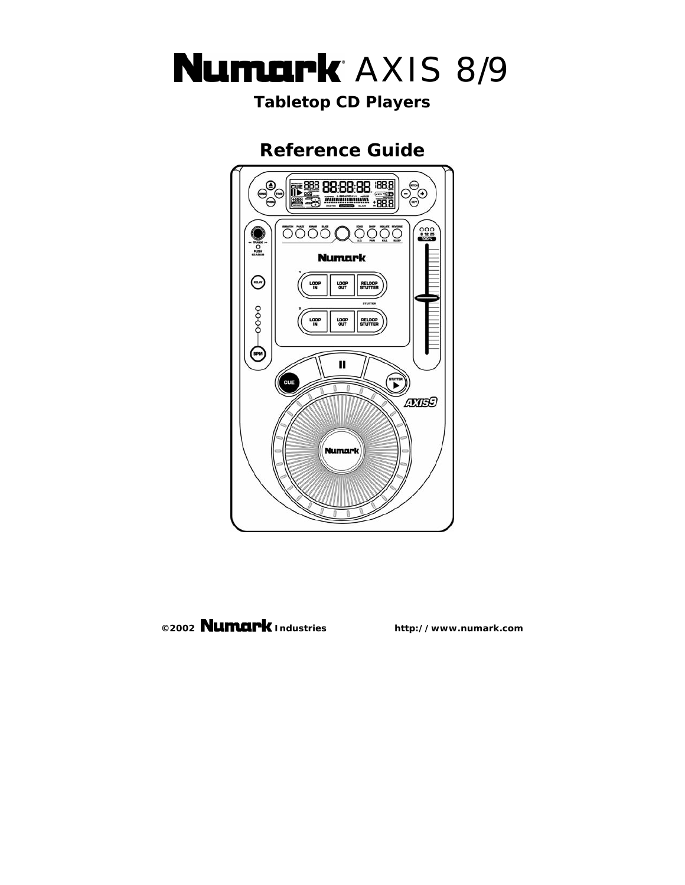

# *Tabletop CD Players*

# **Reference Guide**



# **©2002 Industries http://www.numark.com**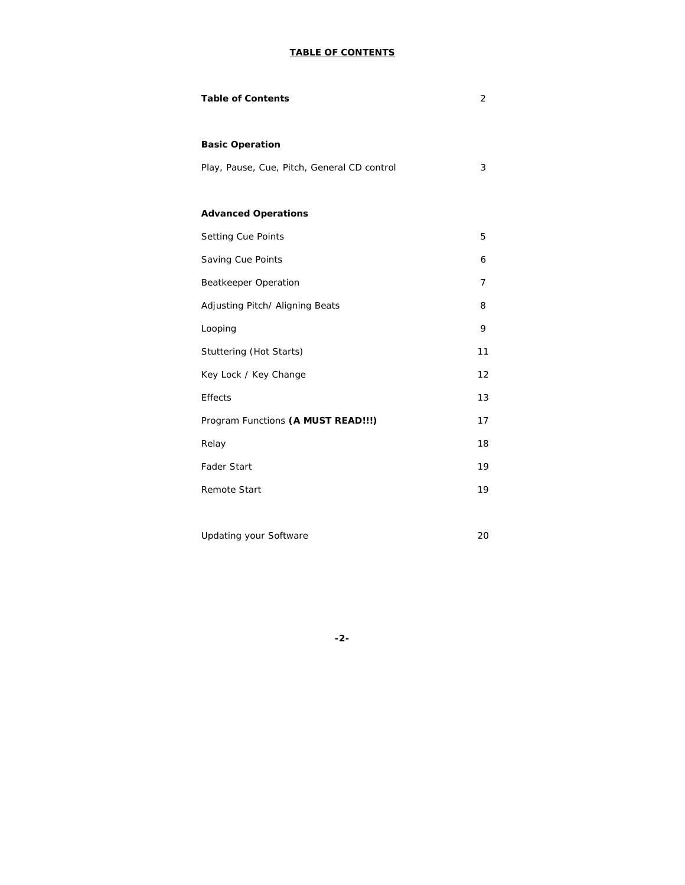## **TABLE OF CONTENTS**

| <b>Table of Contents</b>                    | $\overline{2}$ |
|---------------------------------------------|----------------|
|                                             |                |
| <b>Basic Operation</b>                      |                |
| Play, Pause, Cue, Pitch, General CD control | 3              |
|                                             |                |
| <b>Advanced Operations</b>                  |                |
| Setting Cue Points                          | 5              |
| Saving Cue Points                           | 6              |
| <b>Beatkeeper Operation</b>                 | 7              |
| Adjusting Pitch/ Aligning Beats             | 8              |
| Looping                                     | 9              |
| Stuttering (Hot Starts)                     | 11             |
| Key Lock / Key Change                       | 12             |
| <b>Effects</b>                              | 13             |
| Program Functions (A MUST READ!!!)          | 17             |
| Relay                                       | 18             |
| <b>Fader Start</b>                          | 19             |
| <b>Remote Start</b>                         | 19             |
|                                             |                |

| Updating your Software |  |  |
|------------------------|--|--|
|                        |  |  |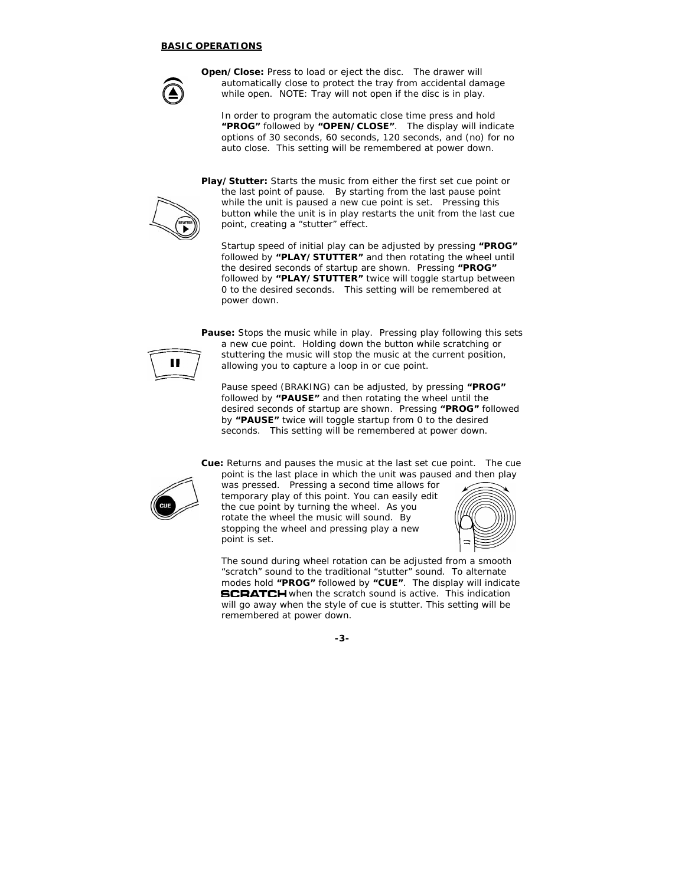#### **BASIC OPERATIONS**



**Open/Close:** Press to load or eject the disc. The drawer will automatically close to protect the tray from accidental damage while open. *NOTE: Tray will not open if the disc is in play.*

*In order to program the automatic close time press and hold "PROG" followed by "OPEN/CLOSE". The display will indicate options of 30 seconds, 60 seconds, 120 seconds, and (no) for no auto close. This setting will be remembered at power down.*

**Play/Stutter:** Starts the music from either the first set cue point or the last point of pause. By starting from the last pause point while the unit is paused a new cue point is set. Pressing this button while the unit is in play restarts the unit from the last cue point, creating a "stutter" effect.

*Startup speed of initial play can be adjusted by pressing "PROG" followed by "PLAY/STUTTER" and then rotating the wheel until the desired seconds of startup are shown. Pressing "PROG" followed by "PLAY/STUTTER" twice will toggle startup between 0 to the desired seconds. This setting will be remembered at power down.* 

**Pause:** Stops the music while in play. Pressing play following this sets a new cue point. Holding down the button while scratching or stuttering the music will stop the music at the current position, allowing you to capture a loop in or cue point.

*Pause speed (BRAKING) can be adjusted, by pressing "PROG" followed by "PAUSE" and then rotating the wheel until the desired seconds of startup are shown. Pressing "PROG" followed by "PAUSE" twice will toggle startup from 0 to the desired seconds. This setting will be remembered at power down.* 

**Cue:** Returns and pauses the music at the last set cue point. The cue point is the last place in which the unit was paused and then play



was pressed. Pressing a second time allows for temporary play of this point. You can easily edit the cue point by turning the wheel. As you rotate the wheel the music will sound. By stopping the wheel and pressing play a new point is set.



*The sound during wheel rotation can be adjusted from a smooth "scratch" sound to the traditional "stutter" sound. To alternate modes hold "PROG" followed by "CUE". The display will indicate*  **SCRATCH** when the scratch sound is active. This indication *will go away when the style of cue is stutter. This setting will be remembered at power down.*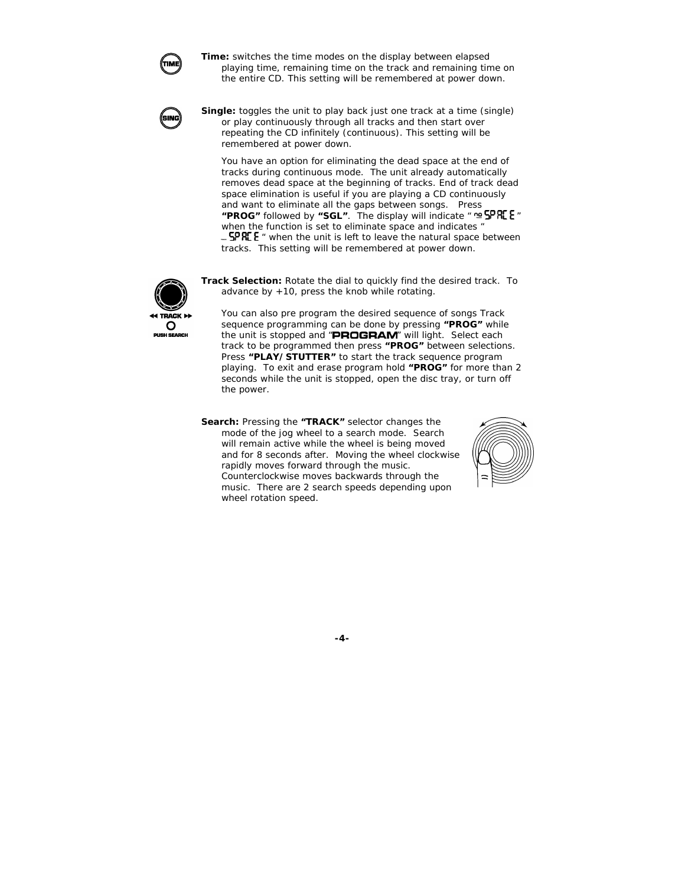

**Time:** switches the time modes on the display between elapsed playing time, remaining time on the track and remaining time on the entire CD. *This setting will be remembered at power down.*

**Single:** toggles the unit to play back just one track at a time (single) or play continuously through all tracks and then start over repeating the CD infinitely (continuous). *This setting will be remembered at power down.* 

*You have an option for eliminating the dead space at the end of tracks during continuous mode. The unit already automatically removes dead space at the beginning of tracks. End of track dead space elimination is useful if you are playing a CD continuously and want to eliminate all the gaps between songs. Press "PROG" followed by "SGL". The display will indicate " " when the function is set to eliminate space and indicates " " when the unit is left to leave the natural space between tracks. This setting will be remembered at power down.* 



**Track Selection:** Rotate the dial to quickly find the desired track. To advance by  $+10$ , press the knob while rotating.

*You can also pre program the desired sequence of songs Track sequence programming can be done by pressing "PROG" while the unit is stopped and " " will light. Select each track to be programmed then press "PROG" between selections. Press "PLAY/STUTTER" to start the track sequence program playing. To exit and erase program hold "PROG" for more than 2 seconds while the unit is stopped, open the disc tray, or turn off the power.* 

**Search:** Pressing the **"TRACK"** selector changes the mode of the jog wheel to a search mode. Search will remain active while the wheel is being moved and for 8 seconds after. Moving the wheel clockwise rapidly moves forward through the music. Counterclockwise moves backwards through the music. There are 2 search speeds depending upon wheel rotation speed.

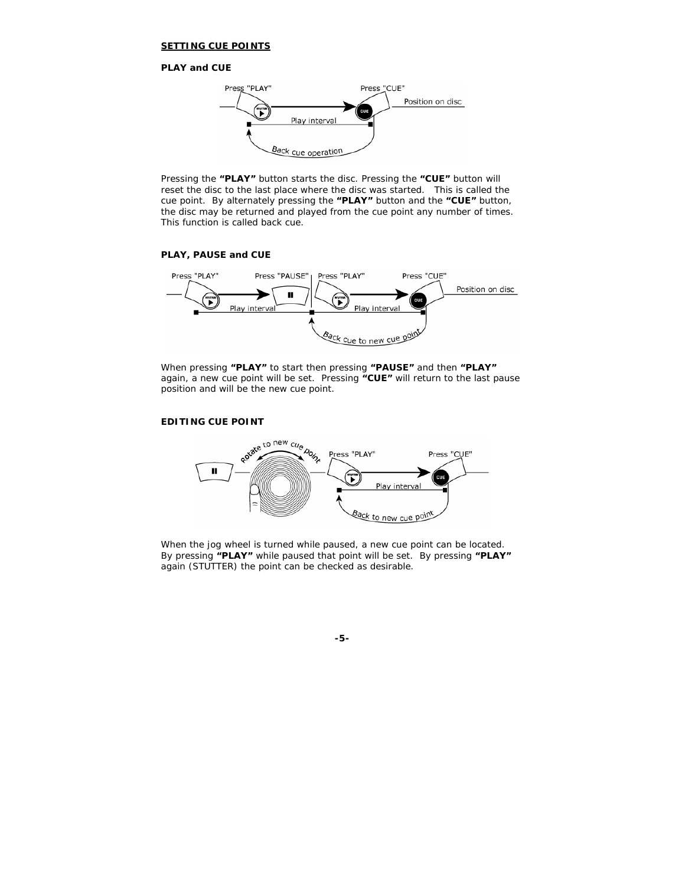#### **SETTING CUE POINTS**

#### **PLAY and CUE**



Pressing the **"PLAY"** button starts the disc. Pressing the **"CUE"** button will reset the disc to the last place where the disc was started. This is called the cue point. By alternately pressing the **"PLAY"** button and the **"CUE"** button, the disc may be returned and played from the cue point any number of times. This function is called back cue.

#### **PLAY, PAUSE and CUE**



When pressing **"PLAY"** to start then pressing **"PAUSE"** and then **"PLAY"** again, a new cue point will be set. Pressing **"CUE"** will return to the last pause position and will be the new cue point.

#### **EDITING CUE POINT**



When the jog wheel is turned while paused, a new cue point can be located. By pressing **"PLAY"** while paused that point will be set. By pressing **"PLAY"** again (STUTTER) the point can be checked as desirable.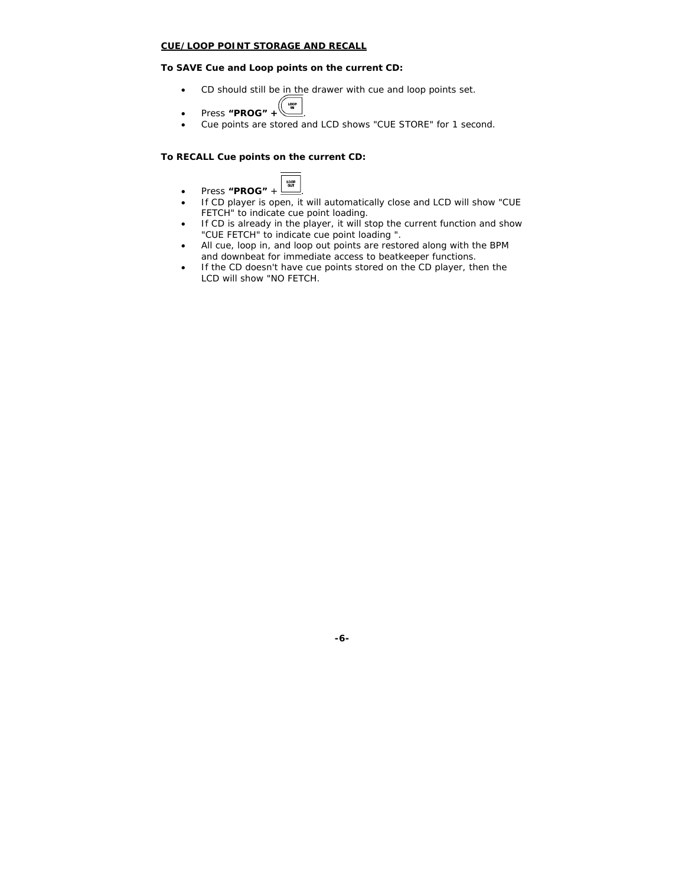#### **CUE/LOOP POINT STORAGE AND RECALL**

#### **To SAVE Cue and Loop points on the current CD:**

- CD should still be in the drawer with cue and loop points set.
- LOOP • Press **"PROG" +** .
- Cue points are stored and LCD shows "CUE STORE" for 1 second.

#### **To RECALL Cue points on the current CD:**

- LOOP • Press **"PROG"** + .
- If CD player is open, it will automatically close and LCD will show "CUE FETCH" to indicate cue point loading.
- If CD is already in the player, it will stop the current function and show "CUE FETCH" to indicate cue point loading ".
- All cue, loop in, and loop out points are restored along with the BPM and downbeat for immediate access to beatkeeper functions.
- If the CD doesn't have cue points stored on the CD player, then the LCD will show "NO FETCH.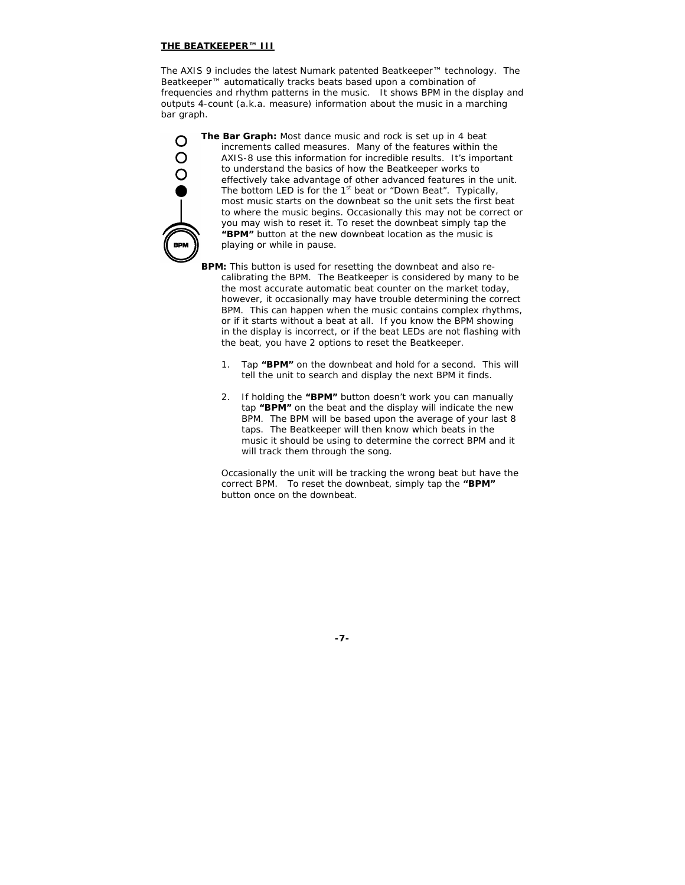#### **THE BEATKEEPER™ III**

The AXIS 9 includes the latest Numark patented Beatkeeper™ technology. The Beatkeeper™ automatically tracks beats based upon a combination of frequencies and rhythm patterns in the music. It shows BPM in the display and outputs 4-count (a.k.a. measure) information about the music in a marching bar graph.



**The Bar Graph:** Most dance music and rock is set up in 4 beat increments called measures. Many of the features within the AXIS-8 use this information for incredible results. It's important to understand the basics of how the Beatkeeper works to effectively take advantage of other advanced features in the unit. The bottom LED is for the  $1<sup>st</sup>$  beat or "Down Beat". Typically, most music starts on the downbeat so the unit sets the first beat to where the music begins. Occasionally this may not be correct or you may wish to reset it. To reset the downbeat simply tap the **"BPM"** button at the new downbeat location as the music is playing or while in pause.

**BPM:** This button is used for resetting the downbeat and also recalibrating the BPM. The Beatkeeper is considered by many to be the most accurate automatic beat counter on the market today, however, it occasionally may have trouble determining the correct BPM. This can happen when the music contains complex rhythms, or if it starts without a beat at all. If you know the BPM showing in the display is incorrect, or if the beat LEDs are not flashing with the beat, you have 2 options to reset the Beatkeeper.

- 1. Tap **"BPM"** on the downbeat and hold for a second. This will tell the unit to search and display the next BPM it finds.
- 2. If holding the **"BPM"** button doesn't work you can manually tap **"BPM"** on the beat and the display will indicate the new BPM. The BPM will be based upon the average of your last 8 taps. The Beatkeeper will then know which beats in the music it should be using to determine the correct BPM and it will track them through the song.

Occasionally the unit will be tracking the wrong beat but have the correct BPM. To reset the downbeat, simply tap the **"BPM"** button once on the downbeat.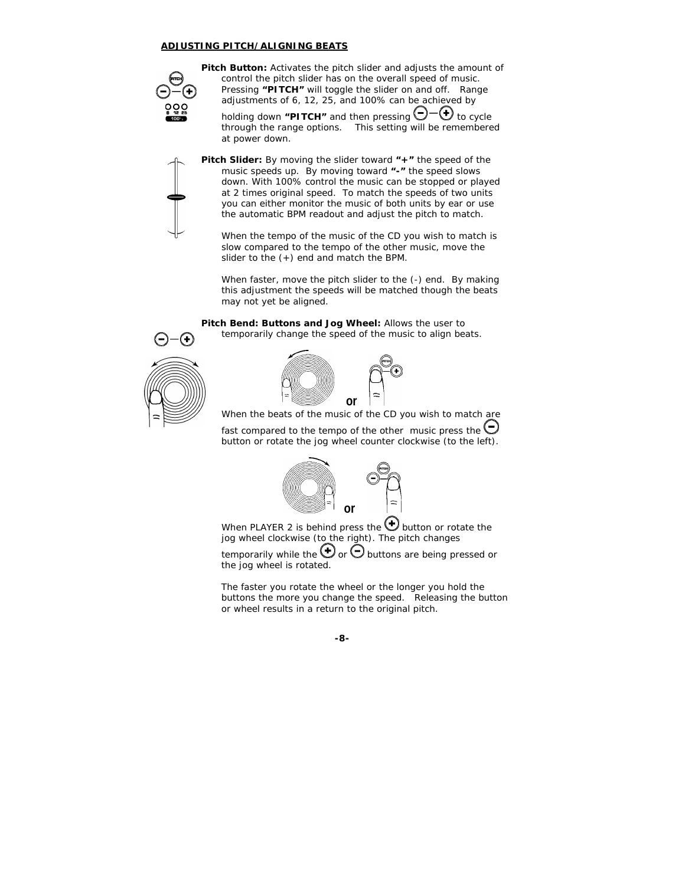#### **ADJUSTING PITCH/ALIGNING BEATS**



**Pitch Button:** Activates the pitch slider and adjusts the amount of control the pitch slider has on the overall speed of music. Pressing **"PITCH"** will toggle the slider on and off. Range adjustments of 6, 12, 25, and 100% can be achieved by

holding down "PITCH" and then pressing  $\bigcirc$  - $\bigcirc$  to cycle through the range options. *This setting will be remembered at power down.*



**Pitch Slider:** By moving the slider toward **"+"** the speed of the music speeds up. By moving toward **"-"** the speed slows down. With 100% control the music can be stopped or played at 2 times original speed. To match the speeds of two units you can either monitor the music of both units by ear or use the automatic BPM readout and adjust the pitch to match.

When the tempo of the music of the CD you wish to match is slow compared to the tempo of the other music, move the slider to the (+) end and match the BPM.

When faster, move the pitch slider to the (-) end. By making this adjustment the speeds will be matched though the beats may not yet be aligned.

**Pitch Bend: Buttons and Jog Wheel:** Allows the user to temporarily change the speed of the music to align beats.



(+



When the beats of the music of the CD you wish to match are fast compared to the tempo of the other music press the  $\bigcirc$ button or rotate the jog wheel counter clockwise (to the left).



When PLAYER 2 is behind press the  $\bigoplus$  button or rotate the jog wheel clockwise (to the right). The pitch changes temporarily while the  $\bigoplus$  or  $\bigodot$  buttons are being pressed or the jog wheel is rotated.

*The faster you rotate the wheel or the longer you hold the buttons the more you change the speed. Releasing the button or wheel results in a return to the original pitch.*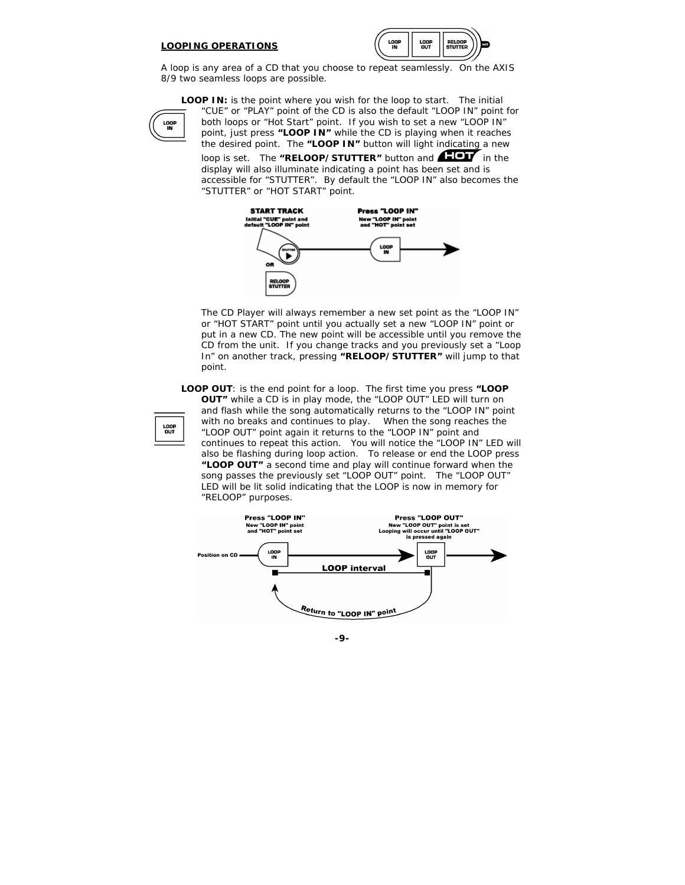#### **LOOPING OPERATIONS**



A loop is any area of a CD that you choose to repeat seamlessly. On the AXIS 8/9 two seamless loops are possible.

**LOOP IN:** is the point where you wish for the loop to start. The initial



"CUE" or "PLAY" point of the CD is also the default "LOOP IN" point for both loops or "Hot Start" point. If you wish to set a new "LOOP IN" point, just press **"LOOP IN"** while the CD is playing when it reaches the desired point. The **"LOOP IN"** button will light indicating a new

loop is set. The "RELOOP/STUTTER" button and **ALOV** in the display will also illuminate indicating a point has been set and is accessible for "STUTTER". *By default the "LOOP IN" also becomes the "STUTTER" or "HOT START" point.* 



*The CD Player will always remember a new set point as the "LOOP IN" or "HOT START" point until you actually set a new "LOOP IN" point or put in a new CD. The new point will be accessible until you remove the CD from the unit. If you change tracks and you previously set a "Loop In" on another track, pressing* **"RELOOP/STUTTER"** *will jump to that point.* 

**LOOP OUT**: is the end point for a loop. The first time you press **"LOOP OUT"** while a CD is in play mode, the "LOOP OUT" LED will turn on and flash while the song automatically returns to the "LOOP IN" point with no breaks and continues to play. When the song reaches the "LOOP OUT" point again it returns to the "LOOP IN" point and continues to repeat this action. You will notice the "LOOP IN" LED will also be flashing during loop action. To release or end the LOOP press **"LOOP OUT"** a second time and play will continue forward when the song passes the previously set "LOOP OUT" point. The "LOOP OUT" LED will be lit solid indicating that the LOOP is now in memory for "RELOOP" purposes.



LOOP<br>OUT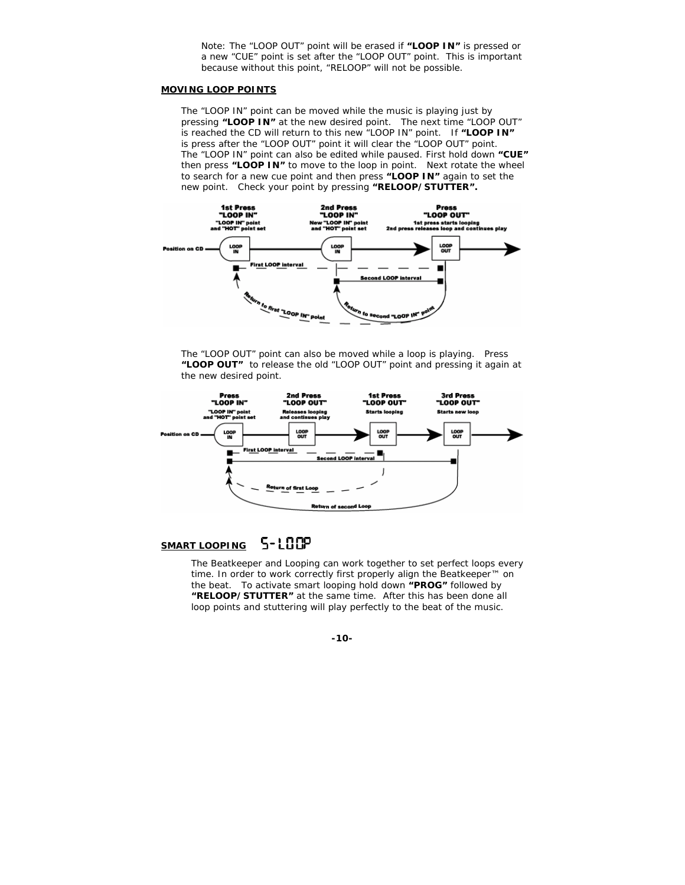*Note: The "LOOP OUT" point will be erased if* **"LOOP IN"** *is pressed or a new "CUE" point is set after the "LOOP OUT" point. This is important because without this point, "RELOOP" will not be possible.* 

#### **MOVING LOOP POINTS**

The "LOOP IN" point can be moved while the music is playing just by pressing **"LOOP IN"** at the new desired point. The next time "LOOP OUT" is reached the CD will return to this new "LOOP IN" point. If **"LOOP IN"** is press after the "LOOP OUT" point it will clear the "LOOP OUT" point. The "LOOP IN" point can also be edited while paused. First hold down **"CUE"** then press **"LOOP IN"** to move to the loop in point. Next rotate the wheel to search for a new cue point and then press **"LOOP IN"** again to set the new point. Check your point by pressing **"RELOOP/STUTTER".**



The "LOOP OUT" point can also be moved while a loop is playing. Press **"LOOP OUT"** to release the old "LOOP OUT" point and pressing it again at the new desired point.



## **SMART LOOPING**

The Beatkeeper and Looping can work together to set perfect loops every time. In order to work correctly first properly align the Beatkeeper<sup>™</sup> on the beat. To activate smart looping hold down **"PROG"** followed by **"RELOOP/STUTTER"** at the same time. After this has been done all loop points and stuttering will play perfectly to the beat of the music.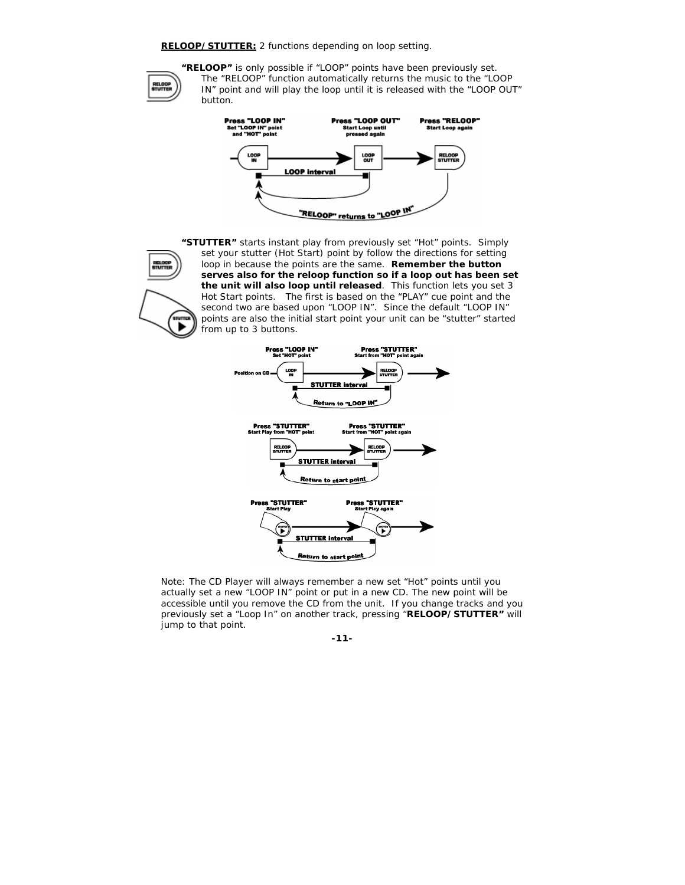#### **RELOOP/STUTTER:** *2 functions depending on loop setting.*



**TUTT** 

**"RELOOP"** is only possible if "LOOP" points have been previously set. The "RELOOP" function automatically returns the music to the "LOOP IN" point and will play the loop until it is released with the "LOOP OUT" button.



**"STUTTER"** starts instant play from previously set "Hot" points. Simply set your stutter (Hot Start) point by follow the directions for setting loop in because the points are the same. **Remember the button serves also for the reloop function so if a loop out has been set the unit will also loop until released**. This function lets you set 3 Hot Start points. The first is based on the "PLAY" cue point and the second two are based upon "LOOP IN". Since the default "LOOP IN" points are also the initial start point your unit can be "stutter" started from up to 3 buttons.



*Note: The CD Player will always remember a new set "Hot" points until you actually set a new "LOOP IN" point or put in a new CD. The new point will be accessible until you remove the CD from the unit. If you change tracks and you previously set a "Loop In" on another track, pressing "***RELOOP/STUTTER"** *will jump to that point.*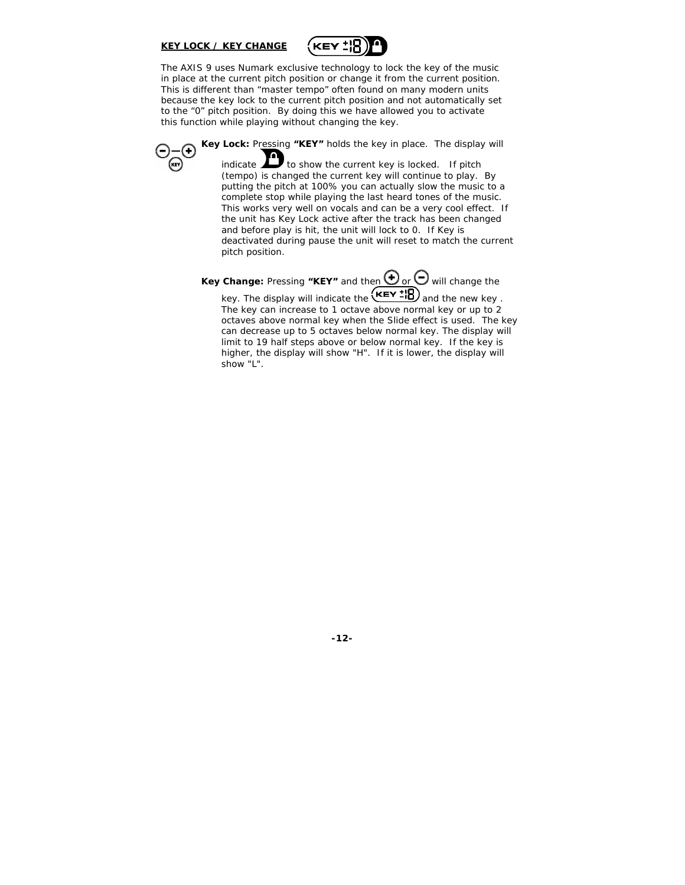#### **KEY LOCK / KEY CHANGE**



The AXIS 9 uses Numark exclusive technology to lock the key of the music in place at the current pitch position or change it from the current position. This is different than "master tempo" often found on many modern units because the key lock to the current pitch position and not automatically set to the "0" pitch position. By doing this we have allowed you to activate this function while playing without changing the key.

**Key Lock:** Pressing **"KEY"** holds the key in place. The display will

indicate  $\sum$  to show the current key is locked. If pitch (tempo) is changed the current key will continue to play. By putting the pitch at 100% you can actually slow the music to a complete stop while playing the last heard tones of the music. This works very well on vocals and can be a very cool effect. If the unit has Key Lock active after the track has been changed and before play is hit, the unit will lock to 0. If Key is deactivated during pause the unit will reset to match the current pitch position.

*Key Change: Pressing*  $\text{"KEY"}$  *and then* $\bigoplus$  *or* $\bigodot$  *will change the* 

*key. The display will indicate the*  $\overline{\text{KEY 10}}$  and the new key. *The key can increase to 1 octave above normal key or up to 2 octaves above normal key when the Slide effect is used. The key can decrease up to 5 octaves below normal key. The display will limit to 19 half steps above or below normal key. If the key is higher, the display will show "H". If it is lower, the display will show "L".*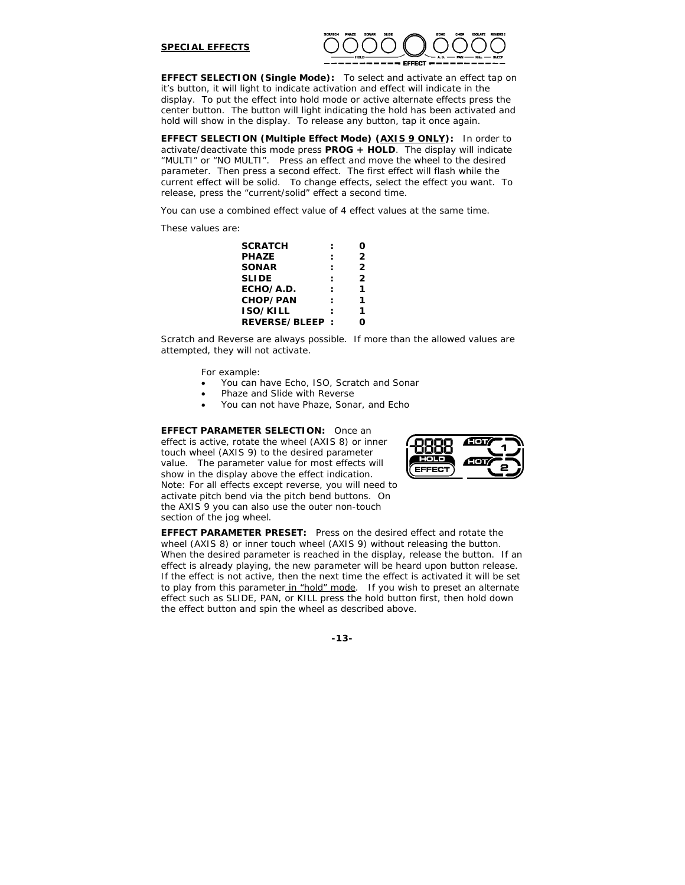#### **SPECIAL EFFECTS**



**EFFECT SELECTION (Single Mode):** To select and activate an effect tap on it's button, it will light to indicate activation and effect will indicate in the display. To put the effect into hold mode or active alternate effects press the center button. The button will light indicating the hold has been activated and hold will show in the display. To release any button, tap it once again.

**EFFECT SELECTION (Multiple Effect Mode) (AXIS 9 ONLY):** In order to activate/deactivate this mode press **PROG + HOLD**. The display will indicate "MULTI" or "NO MULTI". Press an effect and move the wheel to the desired parameter. Then press a second effect. The first effect will flash while the current effect will be solid. To change effects, select the effect you want. To release, press the "current/solid" effect a second time.

You can use a combined effect value of 4 effect values at the same time.

These values are:

| <b>SCRATCH</b>  |                |
|-----------------|----------------|
| <b>PHAZE</b>    | 2              |
| <b>SONAR</b>    | 2              |
| <b>SLIDE</b>    | $\overline{2}$ |
| ECHO/A.D.       |                |
| <b>CHOP/PAN</b> |                |
| <b>ISO/KILL</b> | 1              |
| REVERSE/BLEEP:  |                |
|                 |                |

*Scratch and Reverse are always possible. If more than the allowed values are attempted, they will not activate.* 

For example:

- You can have Echo, ISO, Scratch and Sonar
- Phaze and Slide with Reverse
- You can not have Phaze, Sonar, and Echo

**EFFECT PARAMETER SELECTION:** Once an effect is active, rotate the wheel (AXIS 8) or inner touch wheel (AXIS 9) to the desired parameter value. The parameter value for most effects will show in the display above the effect indication. *Note: For all effects except reverse, you will need to activate pitch bend via the pitch bend buttons. On the AXIS 9 you can also use the outer non-touch section of the jog wheel.*



**EFFECT PARAMETER PRESET:** Press on the desired effect and rotate the wheel (AXIS 8) or inner touch wheel (AXIS 9) without releasing the button. When the desired parameter is reached in the display, release the button. If an effect is already playing, the new parameter will be heard upon button release. If the effect is not active, then the next time the effect is activated it will be set to play from this parameter\_in "hold" mode. If you wish to preset an alternate effect such as SLIDE, PAN, or KILL press the hold button first, then hold down the effect button and spin the wheel as described above.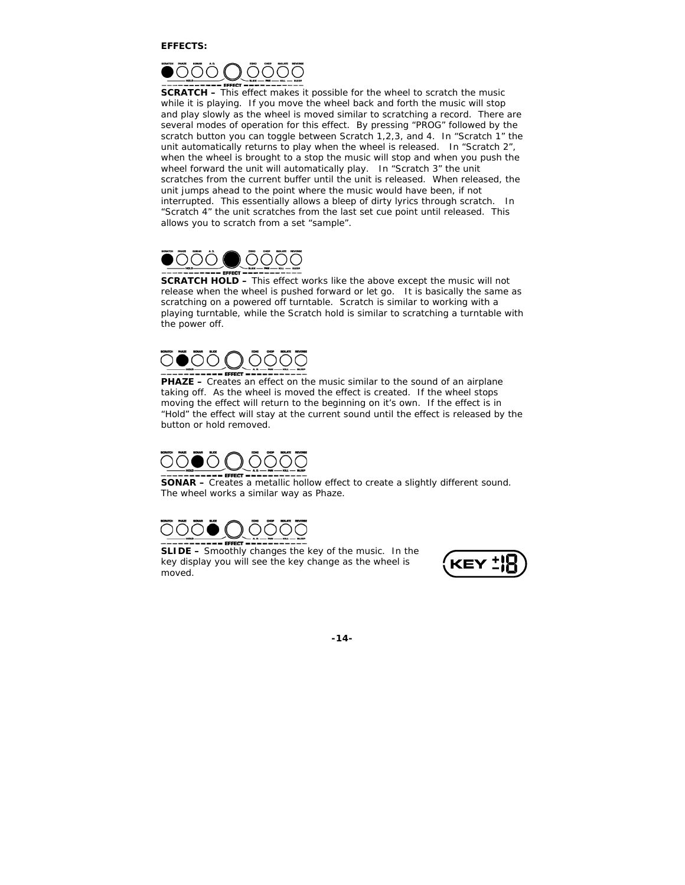

**SCRATCH –** This effect makes it possible for the wheel to scratch the music while it is playing. If you move the wheel back and forth the music will stop and play slowly as the wheel is moved similar to scratching a record. There are several modes of operation for this effect. By pressing "PROG" followed by the scratch button you can toggle between Scratch 1,2,3, and 4. In "Scratch 1" the unit automatically returns to play when the wheel is released. In "Scratch 2", when the wheel is brought to a stop the music will stop and when you push the wheel forward the unit will automatically play. In "Scratch 3" the unit scratches from the current buffer until the unit is released. When released, the unit jumps ahead to the point where the music would have been, if not interrupted. This essentially allows a bleep of dirty lyrics through scratch. In "Scratch 4" the unit scratches from the last set cue point until released. This allows you to scratch from a set "sample".



**SCRATCH HOLD –** This effect works like the above except the music will not release when the wheel is pushed forward or let go. It is basically the same as scratching on a powered off turntable. Scratch is similar to working with a playing turntable, while the Scratch hold is similar to scratching a turntable with the power off.

**PHAZE –** Creates an effect on the music similar to the sound of an airplane taking off. As the wheel is moved the effect is created. If the wheel stops moving the effect will return to the beginning on it's own. If the effect is in "Hold" the effect will stay at the current sound until the effect is released by the button or hold removed.



**SONAR** – Creates a metallic hollow effect to create a slightly different sound. The wheel works a similar way as Phaze.



**SLIDE –** Smoothly changes the key of the music. In the key display you will see the key change as the wheel is moved.

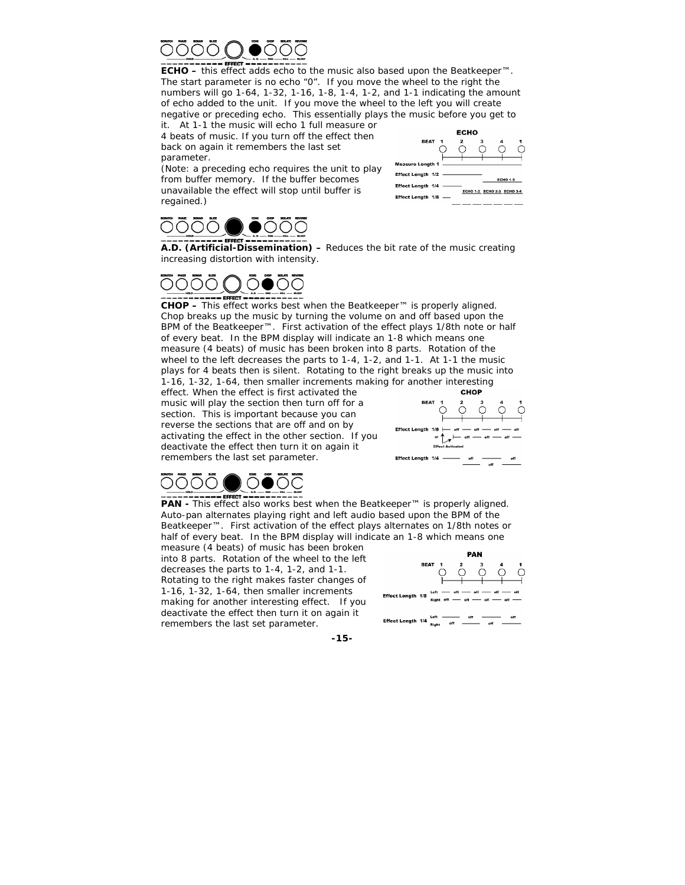

**ECHO –** this effect adds echo to the music also based upon the Beatkeeper™. The start parameter is no echo "0". If you move the wheel to the right the numbers will go 1-64, 1-32, 1-16, 1-8, 1-4, 1-2, and 1-1 indicating the amount of echo added to the unit. If you move the wheel to the left you will create negative or preceding echo. This essentially plays the music before you get to it. At 1-1 the music will echo 1 full measure or

4 beats of music. If you turn off the effect then back on again it remembers the last set parameter.

*(Note: a preceding echo requires the unit to play from buffer memory. If the buffer becomes unavailable the effect will stop until buffer is regained.)* 



**REAT 1 Measure Length 1** Effect Length 1/2 -Effect Length 1/4 -ЕСНО 1-2 ЕСНО 2-3 ЕСНО 3-4 Effect Length 1/8 -

**ECHO** 

**A.D. (Artificial-Dissemination) –** Reduces the bit rate of the music creating increasing distortion with intensity.

# $---$  EFFECT

**CHOP –** This effect works best when the Beatkeeper™ is properly aligned. Chop breaks up the music by turning the volume on and off based upon the BPM of the Beatkeeper™. First activation of the effect plays 1/8th note or half of every beat. In the BPM display will indicate an 1-8 which means one measure (4 beats) of music has been broken into 8 parts. Rotation of the wheel to the left decreases the parts to 1-4, 1-2, and 1-1. At 1-1 the music plays for 4 beats then is silent. Rotating to the right breaks up the music into 1-16, 1-32, 1-64, then smaller increments making for another interesting

effect. When the effect is first activated the music will play the section then turn off for a section. This is important because you can reverse the sections that are off and on by activating the effect in the other section. If you deactivate the effect then turn it on again it remembers the last set parameter.





**PAN -** This effect also works best when the Beatkeeper™ is properly aligned. Auto-pan alternates playing right and left audio based upon the BPM of the Beatkeeper™. First activation of the effect plays alternates on 1/8th notes or half of every beat. In the BPM display will indicate an 1-8 which means one

measure (4 beats) of music has been broken into 8 parts. Rotation of the wheel to the left decreases the parts to 1-4, 1-2, and 1-1. Rotating to the right makes faster changes of 1-16, 1-32, 1-64, then smaller increments making for another interesting effect. If you deactivate the effect then turn it on again it remembers the last set parameter.

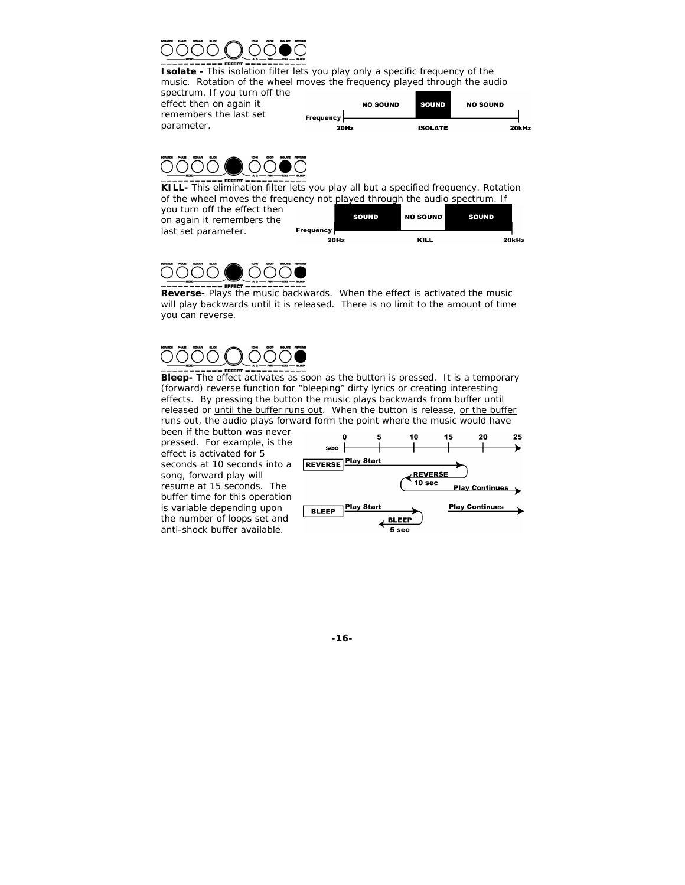

**Isolate -** This isolation filter lets you play only a specific frequency of the music. Rotation of the wheel moves the frequency played through the audio spectrum. If you turn off the

effect then on again it remembers the last set parameter.





**KILL-** This elimination filter lets you play all but a specified frequency. Rotation of the wheel moves the frequency not played through the audio spectrum. If

you turn off the effect then on again it remembers the last set parameter.

| <b>Frequency</b> | <b>SOUND</b> | <b>NO SOUND</b> | <b>SOUND</b> |       |
|------------------|--------------|-----------------|--------------|-------|
|                  | 20Hz         | KILL            |              | 20kHz |



**Reverse-** Plays the music backwards. When the effect is activated the music will play backwards until it is released. There is no limit to the amount of time you can reverse.

**Bleep-** The effect activates as soon as the button is pressed. It is a temporary (forward) reverse function for "bleeping" dirty lyrics or creating interesting effects. By pressing the button the music plays backwards from buffer until released or until the buffer runs out. When the button is release, or the buffer runs out, the audio plays forward form the point where the music would have

been if the button was never pressed. For example, is the effect is activated for 5 seconds at 10 seconds into a song, forward play will resume at 15 seconds. The buffer time for this operation is variable depending upon the number of loops set and anti-shock buffer available.

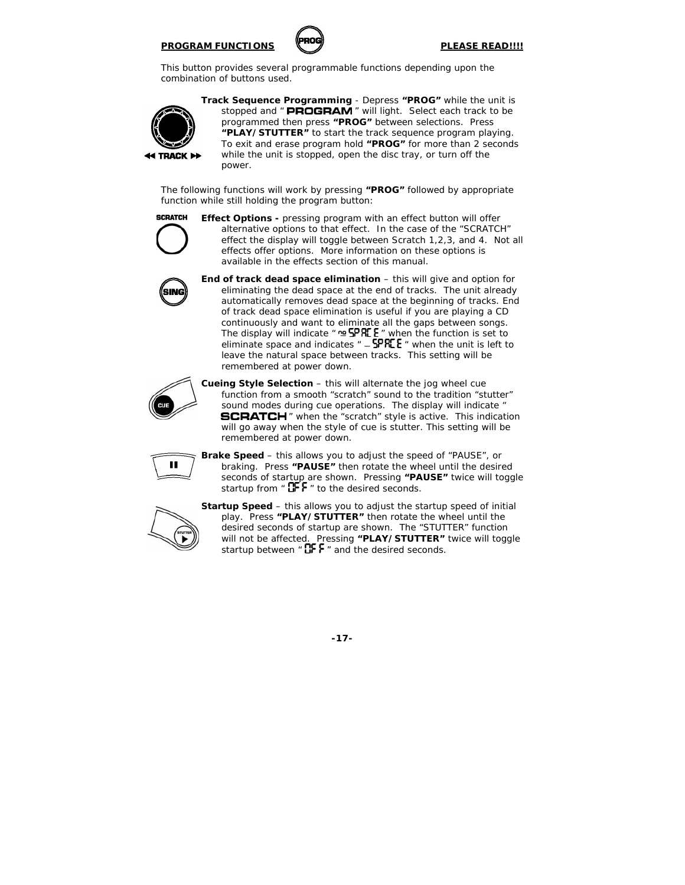#### **PROGRAM FUNCTIONS** *PLEASE READ!!!!*



This button provides several programmable functions depending upon the combination of buttons used.



**Track Sequence Programming** - Depress **"PROG"** while the unit is stopped and " PROGRAM " will light. Select each track to be programmed then press **"PROG"** between selections. Press **"PLAY/STUTTER"** to start the track sequence program playing. To exit and erase program hold **"PROG"** for more than 2 seconds while the unit is stopped, open the disc tray, or turn off the power.

The following functions will work by pressing **"PROG"** followed by appropriate function while still holding the program button:



**Effect Options - pressing program with an effect button will offer** alternative options to that effect. In the case of the "SCRATCH" effect the display will toggle between Scratch 1,2,3, and 4. Not all effects offer options. More information on these options is available in the effects section of this manual.



**End of track dead space elimination** – this will give and option for eliminating the dead space at the end of tracks. The unit already automatically removes dead space at the beginning of tracks. End of track dead space elimination is useful if you are playing a CD continuously and want to eliminate all the gaps between songs. The display will indicate  $\theta$   $\cong$  SPRE  $\theta$  when the function is set to eliminate space and indicates  $" -$  SPRE E  $"$  when the unit is left to leave the natural space between tracks. *This setting will be remembered at power down.*



**Cueing Style Selection** – this will alternate the jog wheel cue function from a smooth "scratch" sound to the tradition "stutter" sound modes during cue operations. The display will indicate " **SCRATCH** " when the "scratch" style is active. This indication will go away when the style of cue is stutter. *This setting will be remembered at power down.* 

$$
\boxed{\blacksquare}
$$

**Brake Speed** – this allows you to adjust the speed of "PAUSE", or braking. Press **"PAUSE"** then rotate the wheel until the desired seconds of startup are shown. Pressing **"PAUSE"** twice will toggle startup from  $\cdot$  OFF  $\cdot$  to the desired seconds.



**Startup Speed** – this allows you to adjust the startup speed of initial play. Press **"PLAY/STUTTER"** then rotate the wheel until the desired seconds of startup are shown. The "STUTTER" function will not be affected. Pressing **"PLAY/STUTTER"** twice will toggle startup between  $\mathbf{B}$   $\mathbf{F}$  and the desired seconds.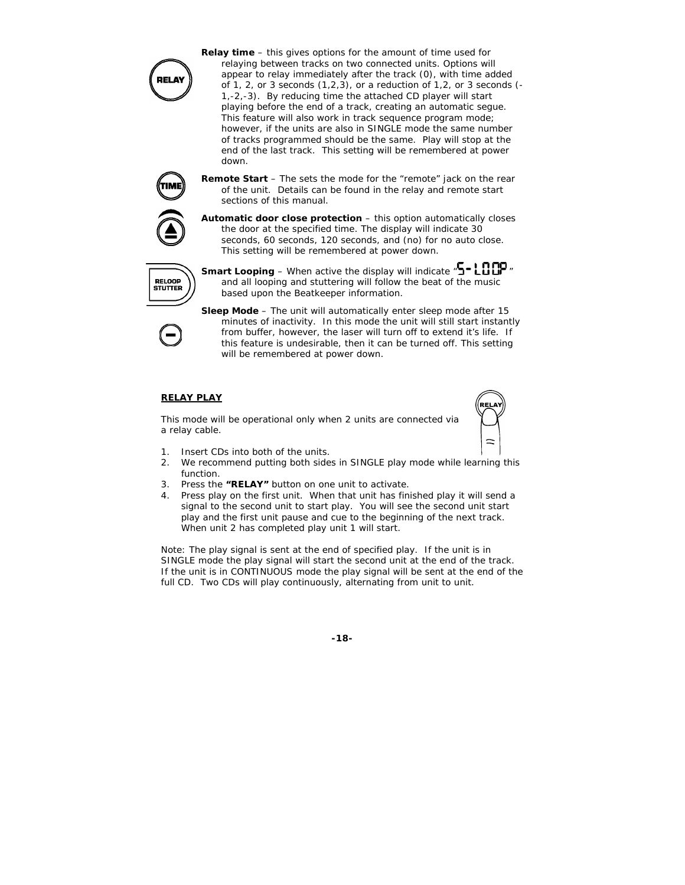

**Relay time** – this gives options for the amount of time used for relaying between tracks on two connected units. Options will appear to relay immediately after the track (0), with time added of 1, 2, or 3 seconds  $(1,2,3)$ , or a reduction of 1,2, or 3 seconds  $(-1, 1, 2)$ 1,-2,-3). By reducing time the attached CD player will start playing before the end of a track, creating an automatic segue. *This feature will also work in track sequence program mode; however, if the units are also in SINGLE mode the same number of tracks programmed should be the same. Play will stop at the end of the last track. This setting will be remembered at power down.* 

**Remote Start** – The sets the mode for the "remote" jack on the rear of the unit. Details can be found in the relay and remote start sections of this manual.

**Automatic door close protection** – this option automatically closes the door at the specified time. The display will indicate 30 seconds, 60 seconds, 120 seconds, and (no) for no auto close. *This setting will be remembered at power down.*



**Smart Looping** – When active the display will indicate  ${}^n$ **S** - LOOP  ${}^n$ and all looping and stuttering will follow the beat of the music based upon the Beatkeeper information.

**Sleep Mode** – The unit will automatically enter sleep mode after 15 minutes of inactivity. In this mode the unit will still start instantly from buffer, however, the laser will turn off to extend it's life. If this feature is undesirable, then it can be turned off. *This setting will be remembered at power down.* 

### **RELAY PLAY**

This mode will be operational only when 2 units are connected via a relay cable.



- 1. Insert CDs into both of the units.
- 2. We recommend putting both sides in SINGLE play mode while learning this function.
- 3. Press the **"RELAY"** button on one unit to activate.
- 4. Press play on the first unit. When that unit has finished play it will send a signal to the second unit to start play. You will see the second unit start play and the first unit pause and cue to the beginning of the next track. When unit 2 has completed play unit 1 will start.

*Note: The play signal is sent at the end of specified play. If the unit is in SINGLE mode the play signal will start the second unit at the end of the track.*  If the unit is in CONTINUOUS mode the play signal will be sent at the end of the *full CD. Two CDs will play continuously, alternating from unit to unit.*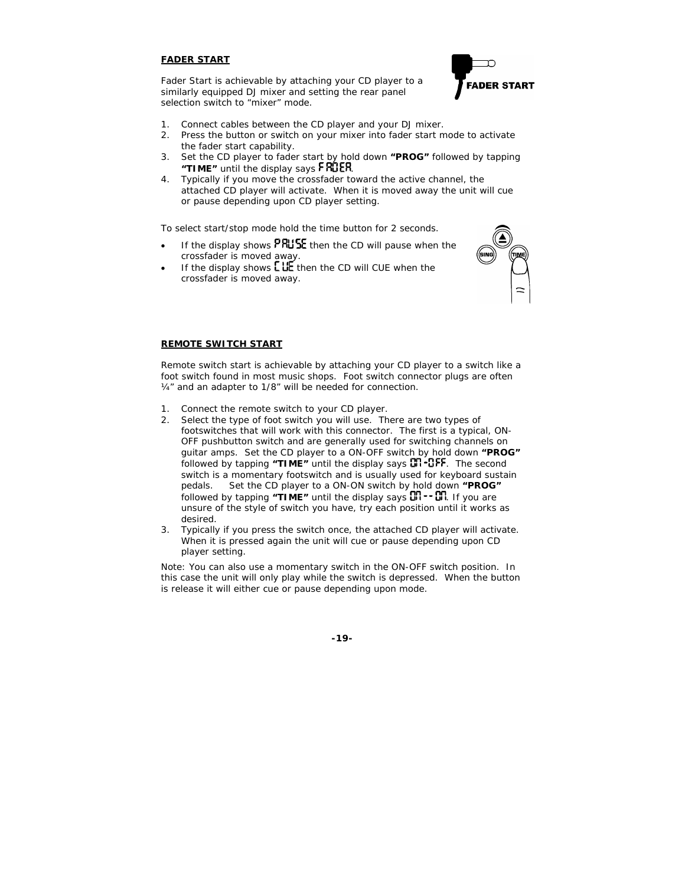### **FADER START**

Fader Start is achievable by attaching your CD player to a similarly equipped DJ mixer and setting the rear panel selection switch to "mixer" mode.



- 1. Connect cables between the CD player and your DJ mixer.
- 2. Press the button or switch on your mixer into fader start mode to activate the fader start capability.
- 3. Set the CD player to fader start by hold down **"PROG"** followed by tapping "**TIME**" until the display says  $F$ RUER.
- 4. Typically if you move the crossfader toward the active channel, the attached CD player will activate. When it is moved away the unit will cue or pause depending upon CD player setting.

To select start/stop mode hold the time button for 2 seconds.

- If the display shows  $PRU$ <sub>5</sub> $E$  then the CD will pause when the crossfader is moved away.
- If the display shows  $\mathsf{LUE}$  then the CD will CUE when the crossfader is moved away.



#### **REMOTE SWITCH START**

Remote switch start is achievable by attaching your CD player to a switch like a foot switch found in most music shops. Foot switch connector plugs are often ¼" and an adapter to 1/8" will be needed for connection.

- 1. Connect the remote switch to your CD player.
- 2. Select the type of foot switch you will use. There are two types of footswitches that will work with this connector. The first is a typical, ON-OFF pushbutton switch and are generally used for switching channels on guitar amps. Set the CD player to a ON-OFF switch by hold down **"PROG"** followed by tapping "TIME" until the display says **CO<sub>1</sub>-CFF**. The second switch is a momentary footswitch and is usually used for keyboard sustain pedals. Set the CD player to a ON-ON switch by hold down **"PROG" followed by tapping "TIME"** until the display says  $\overline{a}$ . **If** you are unsure of the style of switch you have, try each position until it works as desired.
- 3. Typically if you press the switch once, the attached CD player will activate. When it is pressed again the unit will cue or pause depending upon CD player setting.

*Note: You can also use a momentary switch in the ON-OFF switch position. In this case the unit will only play while the switch is depressed. When the button is release it will either cue or pause depending upon mode.*